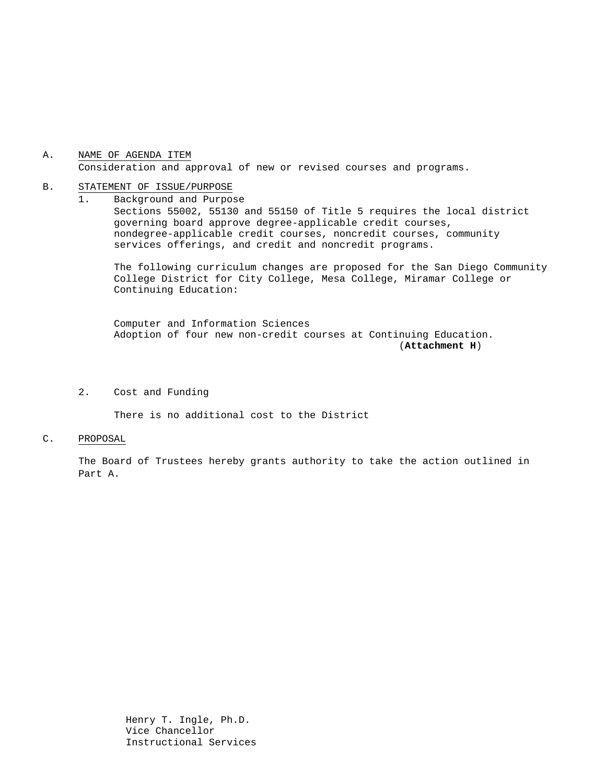### A. NAME OF AGENDA ITEM Consideration and approval of new or revised courses and programs.

#### B. STATEMENT OF ISSUE/PURPOSE

1. Background and Purpose Sections 55002, 55130 and 55150 of Title 5 requires the local district governing board approve degree-applicable credit courses, nondegree-applicable credit courses, noncredit courses, community services offerings, and credit and noncredit programs.

The following curriculum changes are proposed for the San Diego Community College District for City College, Mesa College, Miramar College or Continuing Education:

 Computer and Information Sciences Adoption of four new non-credit courses at Continuing Education. (**Attachment H**)

## 2. Cost and Funding

There is no additional cost to the District

#### C. PROPOSAL

The Board of Trustees hereby grants authority to take the action outlined in Part A.